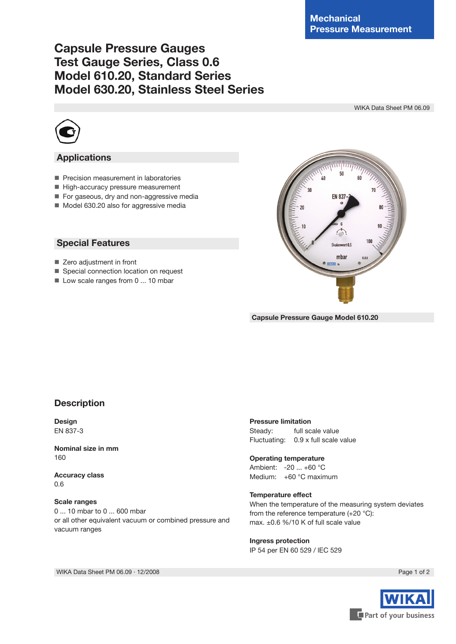# **Capsule Pressure Gauges Test Gauge Series, Class 0.6 Model 610.20, Standard Series Model 630.20, Stainless Steel Series**

WIKA Data Sheet PM 06.09



## **Applications**

- Precision measurement in laboratories
- High-accuracy pressure measurement
- For gaseous, dry and non-aggressive media
- Model 630.20 also for aggressive media

### **Special Features**

- Zero adjustment in front
- Special connection location on request
- $\blacksquare$  Low scale ranges from 0 ... 10 mbar



**Capsule Pressure Gauge Model 610.20**

### **Description**

**Design** EN 837-3

**Nominal size in mm** 160

**Accuracy class** 0.6

#### **Scale ranges**

0 ... 10 mbar to 0 ... 600 mbar or all other equivalent vacuum or combined pressure and vacuum ranges

### **Pressure limitation**

Steady: full scale value Fluctuating: 0.9 x full scale value

#### **Operating temperature**

Ambient: -20 ... +60 °C Medium: +60 °C maximum

### **Temperature effect**

When the temperature of the measuring system deviates from the reference temperature (+20 °C): max. ±0.6 %/10 K of full scale value

### **Ingress protection** IP 54 per EN 60 529 / lEC 529



WIKA Data Sheet PM 06.09 ⋅ 12/2008 Page 1 of 2